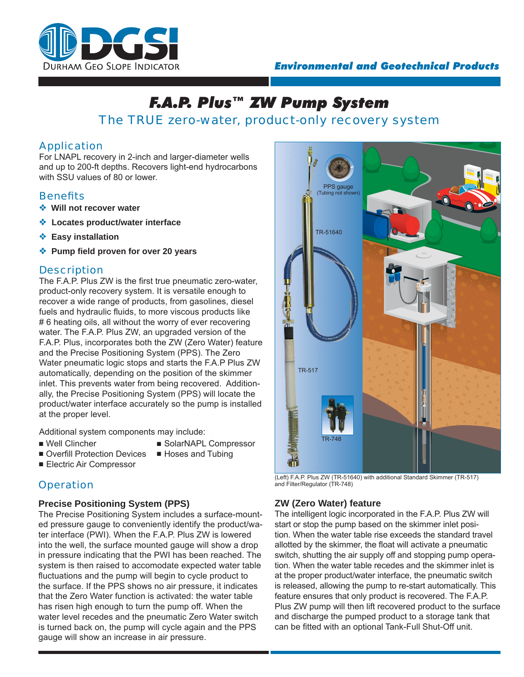

# *F.A.P. Plus™ ZW Pump System* The TRUE zero-water, product-only recovery system

## Application

For LNAPL recovery in 2-inch and larger-diameter wells and up to 200-ft depths. Recovers light-end hydrocarbons with SSU values of 80 or lower

## **Benefits**

- ❖ **Will not recover water**
- ❖ **Locates product/water interface**
- ❖ **Easy installation**
- ❖ **Pump fi eld proven for over 20 years**

## **Description**

The F.A.P. Plus ZW is the first true pneumatic zero-water, product-only recovery system. It is versatile enough to recover a wide range of products, from gasolines, diesel fuels and hydraulic fluids, to more viscous products like #6 heating oils, all without the worry of ever recovering water. The F.A.P. Plus ZW, an upgraded version of the F.A.P. Plus, incorporates both the ZW (Zero Water) feature and the Precise Positioning System (PPS). The Zero Water pneumatic logic stops and starts the F.A.P Plus ZW automatically, depending on the position of the skimmer inlet. This prevents water from being recovered. Additionally, the Precise Positioning System (PPS) will locate the product/water interface accurately so the pump is installed at the proper level.

Additional system components may include:

- Well Clincher
- SolarNAPL Compressor ■ Hoses and Tubing
- Overfill Protection Devices
- Electric Air Compressor
- **Operation**

## **Precise Positioning System (PPS)**

The Precise Positioning System includes a surface-mounted pressure gauge to conveniently identify the product/water interface (PWI). When the F.A.P. Plus ZW is lowered into the well, the surface mounted gauge will show a drop in pressure indicating that the PWI has been reached. The system is then raised to accomodate expected water table fluctuations and the pump will begin to cycle product to the surface. If the PPS shows no air pressure, it indicates that the Zero Water function is activated: the water table has risen high enough to turn the pump off. When the water level recedes and the pneumatic Zero Water switch is turned back on, the pump will cycle again and the PPS gauge will show an increase in air pressure.



(Left) F.A.P. Plus ZW (TR-51640) with additional Standard Skimmer (TR-517) and Filter/Regulator (TR-748)

## **ZW (Zero Water) feature**

The intelligent logic incorporated in the F.A.P. Plus ZW will start or stop the pump based on the skimmer inlet position. When the water table rise exceeds the standard travel allotted by the skimmer, the float will activate a pneumatic switch, shutting the air supply off and stopping pump operation. When the water table recedes and the skimmer inlet is at the proper product/water interface, the pneumatic switch is released, allowing the pump to re-start automatically. This feature ensures that only product is recovered. The F.A.P. Plus ZW pump will then lift recovered product to the surface and discharge the pumped product to a storage tank that can be fitted with an optional Tank-Full Shut-Off unit.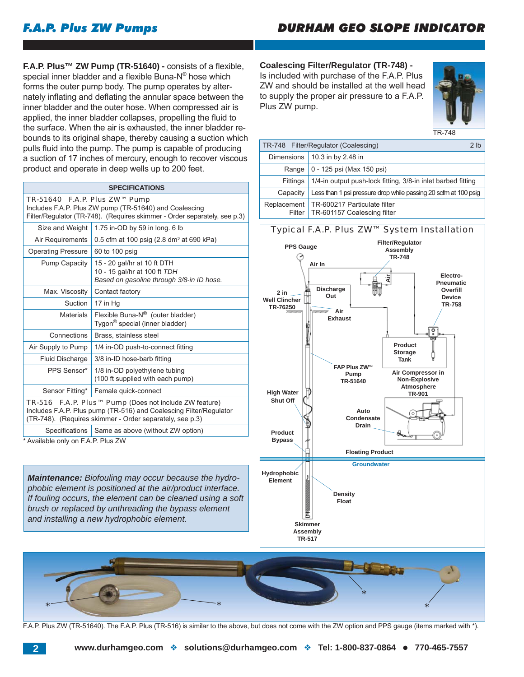# *F.A.P. Plus ZW Pumps*

# *DURHAM GEO SLOPE INDICATOR*

**F.A.P. Plus™ ZW Pump (TR-51640) - consists of a flexible,** special inner bladder and a flexible Buna- $N^{\circ}$  hose which forms the outer pump body. The pump operates by alternately inflating and deflating the annular space between the inner bladder and the outer hose. When compressed air is applied, the inner bladder collapses, propelling the fluid to the surface. When the air is exhausted, the inner bladder rebounds to its original shape, thereby causing a suction which pulls fluid into the pump. The pump is capable of producing a suction of 17 inches of mercury, enough to recover viscous product and operate in deep wells up to 200 feet.

|--|

TR-51640 F.A.P. Plus ZW™ Pump Includes F.A.P. Plus ZW pump (TR-51640) and Coalescing Filter/Regulator (TR-748). (Requires skimmer - Order separately, see p.3) Size and Weight  $\vert$  1.75 in-OD by 59 in long. 6 lb Air Requirements  $\vert$  0.5 cfm at 100 psig (2.8 dm<sup>3</sup> at 690 kPa) Operating Pressure 60 to 100 psig

 $P_{\text{max}}$  Capacity  $15$   $20$  gal/hr at 10 ft DTH

| <b>Fullip Capacity</b> | 10 - 20 Yallılı al IV Il DTH<br>10 - 15 gal/hr at 100 ft TDH<br>Based on gasoline through 3/8-in ID hose.                                                                                |  |
|------------------------|------------------------------------------------------------------------------------------------------------------------------------------------------------------------------------------|--|
| Max. Viscosity         | Contact factory                                                                                                                                                                          |  |
| Suction                | 17 in Hq                                                                                                                                                                                 |  |
| <b>Materials</b>       | Flexible Buna-N <sup>®</sup> (outer bladder)<br>Tygon <sup>®</sup> special (inner bladder)                                                                                               |  |
| Connections            | Brass, stainless steel                                                                                                                                                                   |  |
| Air Supply to Pump     | 1/4 in-OD push-to-connect fitting                                                                                                                                                        |  |
| Fluid Discharge        | 3/8 in-ID hose-barb fitting<br>1/8 in-OD polyethylene tubing<br>(100 ft supplied with each pump)                                                                                         |  |
| PPS Sensor*            |                                                                                                                                                                                          |  |
| Sensor Fitting*        | Female quick-connect                                                                                                                                                                     |  |
| TR-516                 | <b>F.A.P. Plus™ Pump</b> (Does not include ZW feature)<br>Includes F.A.P. Plus pump (TR-516) and Coalescing Filter/Regulator<br>(TR-748). (Requires skimmer - Order separately, see p.3) |  |
|                        |                                                                                                                                                                                          |  |

Specifications  $\vert$  Same as above (without ZW option)

\* Available only on F.A.P. Plus ZW

*Maintenance: Biofouling may occur because the hydrophobic element is positioned at the air/product interface. If fouling occurs, the element can be cleaned using a soft brush or replaced by unthreading the bypass element and installing a new hydrophobic element.*

#### **Coalescing Filter/Regulator (TR-748) -** Is included with purchase of the F.A.P. Plus

ZW and should be installed at the well head to supply the proper air pressure to a F.A.P. Plus ZW pump.



TR-748

| TR-748 Filter/Regulator (Coalescing) |                                                                 |  |
|--------------------------------------|-----------------------------------------------------------------|--|
| <b>Dimensions</b>                    | 10.3 in by 2.48 in                                              |  |
| Range                                | 0 - 125 psi (Max 150 psi)                                       |  |
| Fittings                             | 1/4-in output push-lock fitting, 3/8-in inlet barbed fitting    |  |
| Capacity                             | Less than 1 psi pressure drop while passing 20 scfm at 100 psig |  |
| Replacement<br>Filter                | TR-600217 Particulate filter<br>TR-601157 Coalescing filter     |  |
|                                      |                                                                 |  |

## Typical F.A.P. Plus ZW™ System Installation





F.A.P. Plus ZW (TR-51640). The F.A.P. Plus (TR-516) is similar to the above, but does not come with the ZW option and PPS gauge (items marked with \*).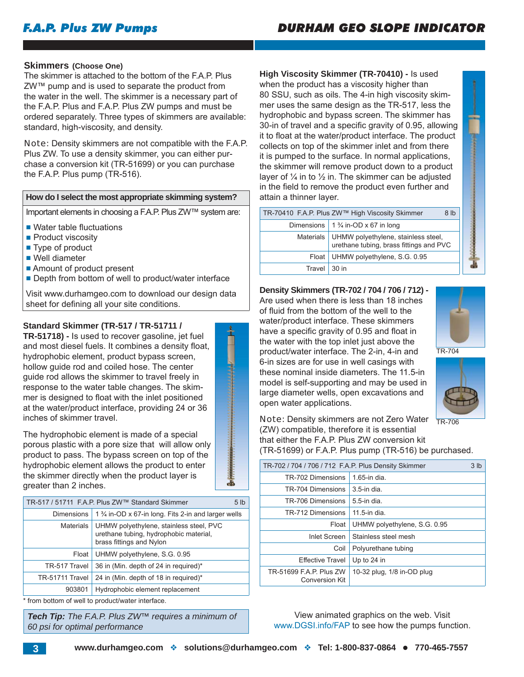# *DURHAM GEO SLOPE INDICATOR*

#### **Skimmers (Choose One)**

The skimmer is attached to the bottom of the F.A.P. Plus ZW™ pump and is used to separate the product from the water in the well. The skimmer is a necessary part of the F.A.P. Plus and F.A.P. Plus ZW pumps and must be ordered separately. Three types of skimmers are available: standard, high-viscosity, and density.

Note: Density skimmers are not compatible with the F.A.P. Plus ZW. To use a density skimmer, you can either purchase a conversion kit (TR-51699) or you can purchase the F.A.P. Plus pump (TR-516).

## **How do I select the most appropriate skimming system?**

Important elements in choosing a F.A.P. Plus ZW™ system are:

- Water table fluctuations
- Product viscosity
- Type of product
- Well diameter
- Amount of product present
- Depth from bottom of well to product/water interface

Visit www.durhamgeo.com to download our design data sheet for defining all your site conditions.

#### **Standard Skimmer (TR-517 / TR-51711 /**

**TR-51718) -** Is used to recover gasoline, jet fuel and most diesel fuels. It combines a density float, hydrophobic element, product bypass screen, hollow guide rod and coiled hose. The center guide rod allows the skimmer to travel freely in response to the water table changes. The skimmer is designed to float with the inlet positioned at the water/product interface, providing 24 or 36 inches of skimmer travel.

The hydrophobic element is made of a special porous plastic with a pore size that will allow only product to pass. The bypass screen on top of the hydrophobic element allows the product to enter the skimmer directly when the product layer is greater than 2 inches.

|                   | TR-517 / 51711 F.A.P. Plus ZW™ Standard Skimmer                                                               | 5 <sub>1b</sub> |
|-------------------|---------------------------------------------------------------------------------------------------------------|-----------------|
| <b>Dimensions</b> | 1 % in-OD x 67-in long. Fits 2-in and larger wells                                                            |                 |
| Materials         | UHMW polyethylene, stainless steel, PVC<br>urethane tubing, hydrophobic material,<br>brass fittings and Nylon |                 |
| Float             | UHMW polyethylene, S.G. 0.95                                                                                  |                 |
| TR-517 Travel     | 36 in (Min. depth of 24 in required)*                                                                         |                 |
| TR-51711 Travel   | 24 in (Min. depth of 18 in required)*                                                                         |                 |
| 903801            | Hydrophobic element replacement                                                                               |                 |
|                   |                                                                                                               |                 |

\* from bottom of well to product/water interface.

*Tech Tip: The F.A.P. Plus ZW™ requires a minimum of 60 psi for optimal performance*

**High Viscosity Skimmer (TR-70410) -** Is used when the product has a viscosity higher than 80 SSU, such as oils. The 4-in high viscosity skimmer uses the same design as the TR-517, less the hydrophobic and bypass screen. The skimmer has 30-in of travel and a specific gravity of 0.95, allowing it to float at the water/product interface. The product collects on top of the skimmer inlet and from there it is pumped to the surface. In normal applications, the skimmer will remove product down to a product layer of  $\frac{1}{4}$  in to  $\frac{1}{2}$  in. The skimmer can be adjusted in the field to remove the product even further and attain a thinner layer.

| TR-70410 F.A.P. Plus ZW™ High Viscosity Skimmer<br>8 <sub>lb</sub>                         |                                              |  |  |
|--------------------------------------------------------------------------------------------|----------------------------------------------|--|--|
|                                                                                            | Dimensions $\frac{13}{4}$ in-OD x 67 in long |  |  |
| Materials   UHMW polyethylene, stainless steel,<br>urethane tubing, brass fittings and PVC |                                              |  |  |
|                                                                                            | Float   UHMW polyethylene, S.G. 0.95         |  |  |
| Travel                                                                                     | .30 in                                       |  |  |

#### **Density Skimmers (TR-702 / 704 / 706 / 712) -**

Are used when there is less than 18 inches of fluid from the bottom of the well to the water/product interface. These skimmers have a specific gravity of 0.95 and float in the water with the top inlet just above the product/water interface. The 2-in, 4-in and 6-in sizes are for use in well casings with these nominal inside diameters. The 11.5-in model is self-supporting and may be used in large diameter wells, open excavations and open water applications.







Note: Density skimmers are not Zero Water (ZW) compatible, therefore it is essential that either the F.A.P. Plus ZW conversion kit (TR-51699) or F.A.P. Plus pump (TR-516) be purchased. TR-706

| TR-702 / 704 / 706 / 712 F.A.P. Plus Density Skimmer |                              |  |  |  |
|------------------------------------------------------|------------------------------|--|--|--|
| TR-702 Dimensions                                    | $1.65$ -in dia.              |  |  |  |
| TR-704 Dimensions                                    | $3.5$ -in dia.               |  |  |  |
| TR-706 Dimensions                                    | $5.5$ -in dia.               |  |  |  |
| TR-712 Dimensions                                    | 11.5-in dia.                 |  |  |  |
| Float                                                | UHMW polyethylene, S.G. 0.95 |  |  |  |
| Inlet Screen                                         | Stainless steel mesh         |  |  |  |
| Coil                                                 | Polyurethane tubing          |  |  |  |
| <b>Effective Travel</b>                              | Up to 24 in                  |  |  |  |
| TR-51699 F.A.P. Plus ZW<br><b>Conversion Kit</b>     | 10-32 plug, 1/8 in-OD plug   |  |  |  |

View animated graphics on the web. Visit www.DGSI.info/FAP to see how the pumps function.

 $\overline{\mathbf{a}}$